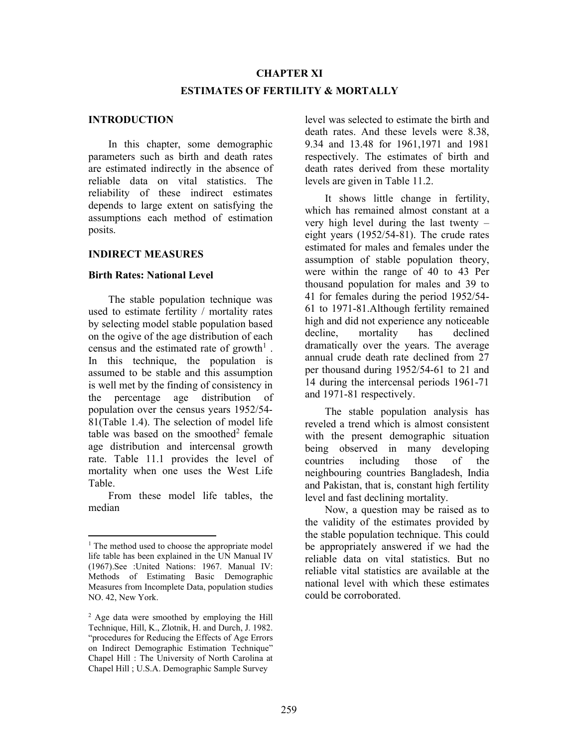# CHAPTER XI ESTIMATES OF FERTILITY & MORTALLY

### INTRODUCTION

 In this chapter, some demographic parameters such as birth and death rates are estimated indirectly in the absence of reliable data on vital statistics. The reliability of these indirect estimates depends to large extent on satisfying the assumptions each method of estimation posits.

### INDIRECT MEASURES

### Birth Rates: National Level

 The stable population technique was used to estimate fertility / mortality rates by selecting model stable population based on the ogive of the age distribution of each census and the estimated rate of growth<sup>1</sup>. In this technique, the population is assumed to be stable and this assumption is well met by the finding of consistency in the percentage age distribution of population over the census years 1952/54- 81(Table 1.4). The selection of model life table was based on the smoothed<sup>2</sup> female age distribution and intercensal growth rate. Table 11.1 provides the level of mortality when one uses the West Life Table.

 From these model life tables, the median

level was selected to estimate the birth and death rates. And these levels were 8.38, 9.34 and 13.48 for 1961,1971 and 1981 respectively. The estimates of birth and death rates derived from these mortality levels are given in Table 11.2.

 It shows little change in fertility, which has remained almost constant at a very high level during the last twenty – eight years (1952/54-81). The crude rates estimated for males and females under the assumption of stable population theory, were within the range of 40 to 43 Per thousand population for males and 39 to 41 for females during the period 1952/54- 61 to 1971-81.Although fertility remained high and did not experience any noticeable decline, mortality has declined dramatically over the years. The average annual crude death rate declined from 27 per thousand during 1952/54-61 to 21 and 14 during the intercensal periods 1961-71 and 1971-81 respectively.

 The stable population analysis has reveled a trend which is almost consistent with the present demographic situation being observed in many developing countries including those of the neighbouring countries Bangladesh, India and Pakistan, that is, constant high fertility level and fast declining mortality.

 Now, a question may be raised as to the validity of the estimates provided by the stable population technique. This could be appropriately answered if we had the reliable data on vital statistics. But no reliable vital statistics are available at the national level with which these estimates could be corroborated.

<sup>&</sup>lt;sup>1</sup> The method used to choose the appropriate model life table has been explained in the UN Manual IV (1967).See :United Nations: 1967. Manual IV: Methods of Estimating Basic Demographic Measures from Incomplete Data, population studies NO. 42, New York.

<sup>&</sup>lt;sup>2</sup> Age data were smoothed by employing the Hill Technique, Hill, K., Zlotnik, H. and Durch, J. 1982. "procedures for Reducing the Effects of Age Errors on Indirect Demographic Estimation Technique" Chapel Hill : The University of North Carolina at Chapel Hill ; U.S.A. Demographic Sample Survey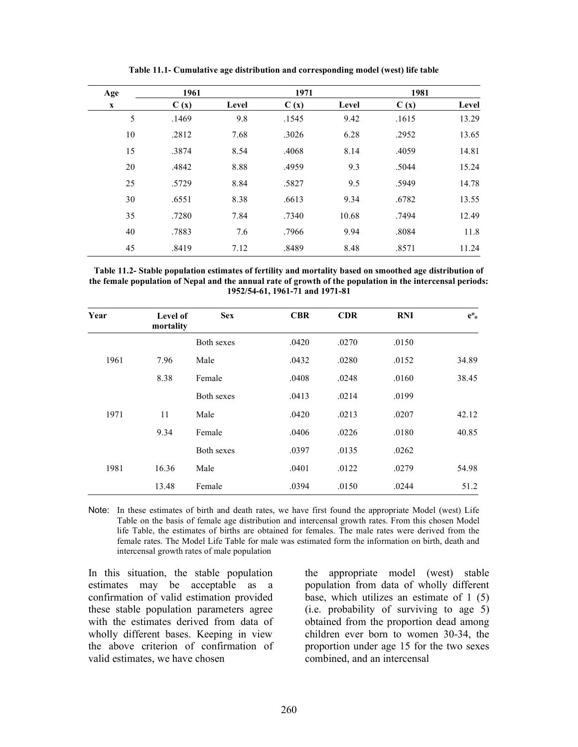| Age         | 1961  |       | 1971  |       | 1981  |       |
|-------------|-------|-------|-------|-------|-------|-------|
| $\mathbf X$ | C(x)  | Level | C(x)  | Level | C(x)  | Level |
| 5           | .1469 | 9.8   | .1545 | 9.42  | .1615 | 13.29 |
| 10          | .2812 | 7.68  | .3026 | 6.28  | .2952 | 13.65 |
| 15          | .3874 | 8.54  | .4068 | 8.14  | .4059 | 14.81 |
| 20          | .4842 | 8.88  | .4959 | 9.3   | .5044 | 15.24 |
| 25          | .5729 | 8.84  | .5827 | 9.5   | .5949 | 14.78 |
| 30          | .6551 | 8.38  | .6613 | 9.34  | .6782 | 13.55 |
| 35          | .7280 | 7.84  | .7340 | 10.68 | .7494 | 12.49 |
| 40          | .7883 | 7.6   | .7966 | 9.94  | .8084 | 11.8  |
| 45          | .8419 | 7.12  | .8489 | 8.48  | .8571 | 11.24 |

Table 11.1- Cumulative age distribution and corresponding model (west) life table

| Table 11.2- Stable population estimates of fertility and mortality based on smoothed age distribution of   |
|------------------------------------------------------------------------------------------------------------|
| the female population of Nepal and the annual rate of growth of the population in the intercensal periods: |
| 1952/54-61, 1961-71 and 1971-81                                                                            |

| Year | Level of<br>mortality | <b>Sex</b> | <b>CBR</b> | <b>CDR</b> | <b>RNI</b> | $e^{\mathbf{0}}$ |
|------|-----------------------|------------|------------|------------|------------|------------------|
|      |                       | Both sexes | .0420      | .0270      | .0150      |                  |
| 1961 | 7.96                  | Male       | .0432      | .0280      | .0152      | 34.89            |
|      | 8.38                  | Female     | .0408      | .0248      | .0160      | 38.45            |
|      |                       | Both sexes | .0413      | .0214      | .0199      |                  |
| 1971 | 11                    | Male       | .0420      | .0213      | .0207      | 42.12            |
|      | 9.34                  | Female     | .0406      | .0226      | .0180      | 40.85            |
|      |                       | Both sexes | .0397      | .0135      | .0262      |                  |
| 1981 | 16.36                 | Male       | .0401      | .0122      | .0279      | 54.98            |
|      | 13.48                 | Female     | .0394      | .0150      | .0244      | 51.2             |

Note: In these estimates of birth and death rates, we have first found the appropriate Model (west) Life Table on the basis of female age distribution and intercensal growth rates. From this chosen Model life Table, the estimates of births are obtained for females. The male rates were derived from the female rates. The Model Life Table for male was estimated form the information on birth, death and intercensal growth rates of male population

In this situation, the stable population estimates may be acceptable as a confirmation of valid estimation provided these stable population parameters agree with the estimates derived from data of wholly different bases. Keeping in view the above criterion of confirmation of valid estimates, we have chosen

the appropriate model (west) stable population from data of wholly different base, which utilizes an estimate of 1 (5) (i.e. probability of surviving to age 5) obtained from the proportion dead among children ever born to women 30-34, the proportion under age 15 for the two sexes combined, and an intercensal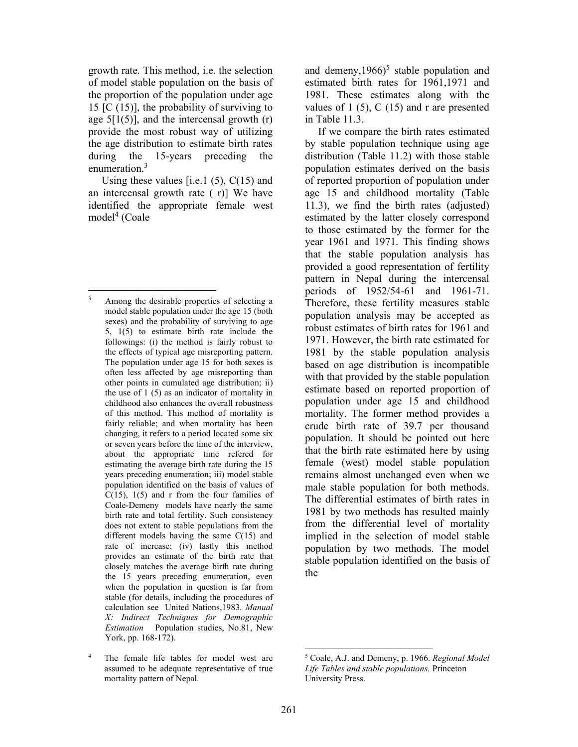growth rate. This method, i.e. the selection of model stable population on the basis of the proportion of the population under age 15  $[C (15)]$ , the probability of surviving to age  $5[1(5)]$ , and the intercensal growth  $(r)$ provide the most robust way of utilizing the age distribution to estimate birth rates during the 15-years preceding the enumeration.<sup>3</sup>

Using these values [i.e.1  $(5)$ ,  $C(15)$  and an intercensal growth rate ( r)] We have identified the appropriate female west model<sup>4</sup> (Coale

and demeny,  $1966$ <sup>5</sup> stable population and estimated birth rates for 1961,1971 and 1981. These estimates along with the values of 1  $(5)$ , C  $(15)$  and r are presented in Table 11.3.

 If we compare the birth rates estimated by stable population technique using age distribution (Table 11.2) with those stable population estimates derived on the basis of reported proportion of population under age 15 and childhood mortality (Table 11.3), we find the birth rates (adjusted) estimated by the latter closely correspond to those estimated by the former for the year 1961 and 1971. This finding shows that the stable population analysis has provided a good representation of fertility pattern in Nepal during the intercensal periods of 1952/54-61 and 1961-71. Therefore, these fertility measures stable population analysis may be accepted as robust estimates of birth rates for 1961 and 1971. However, the birth rate estimated for 1981 by the stable population analysis based on age distribution is incompatible with that provided by the stable population estimate based on reported proportion of population under age 15 and childhood mortality. The former method provides a crude birth rate of 39.7 per thousand population. It should be pointed out here that the birth rate estimated here by using female (west) model stable population remains almost unchanged even when we male stable population for both methods. The differential estimates of birth rates in 1981 by two methods has resulted mainly from the differential level of mortality implied in the selection of model stable population by two methods. The model stable population identified on the basis of the

<sup>3</sup> Among the desirable properties of selecting a model stable population under the age 15 (both sexes) and the probability of surviving to age 5, 1(5) to estimate birth rate include the followings: (i) the method is fairly robust to the effects of typical age misreporting pattern. The population under age 15 for both sexes is often less affected by age misreporting than other points in cumulated age distribution; ii) the use of 1 (5) as an indicator of mortality in childhood also enhances the overall robustness of this method. This method of mortality is fairly reliable; and when mortality has been changing, it refers to a period located some six or seven years before the time of the interview, about the appropriate time refered for estimating the average birth rate during the 15 years preceding enumeration; iii) model stable population identified on the basis of values of  $C(15)$ ,  $1(5)$  and r from the four families of Coale-Demeny models have nearly the same birth rate and total fertility. Such consistency does not extent to stable populations from the different models having the same C(15) and rate of increase; (iv) lastly this method provides an estimate of the birth rate that closely matches the average birth rate during the 15 years preceding enumeration, even when the population in question is far from stable (for details, including the procedures of calculation see United Nations,1983. Manual X: Indirect Techniques for Demographic Estimation Population studies, No.81, New York, pp. 168-172).

<sup>4</sup> The female life tables for model west are assumed to be adequate representative of true mortality pattern of Nepal.

<sup>&</sup>lt;sup>5</sup> Coale, A.J. and Demeny, p. 1966. Regional Model Life Tables and stable populations. Princeton University Press.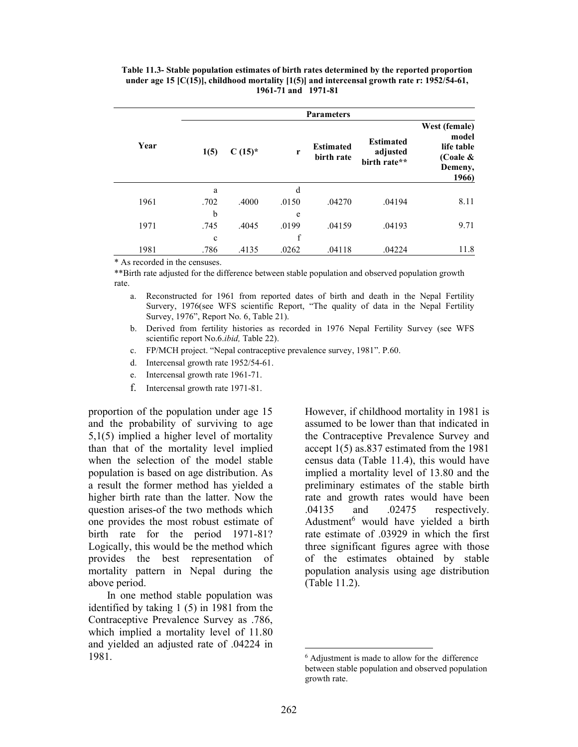Table 11.3- Stable population estimates of birth rates determined by the reported proportion under age 15 [C(15)], childhood mortality [1(5)] and intercensal growth rate r: 1952/54-61, 1961-71 and 1971-81

|      | <b>Parameters</b> |           |       |                                |                                              |                                                                         |  |
|------|-------------------|-----------|-------|--------------------------------|----------------------------------------------|-------------------------------------------------------------------------|--|
| Year | 1(5)              | $C(15)^*$ | r     | <b>Estimated</b><br>birth rate | <b>Estimated</b><br>adjusted<br>birth rate** | West (female)<br>model<br>life table<br>(Coale $\&$<br>Demeny,<br>1966) |  |
|      | a                 |           | d     |                                |                                              |                                                                         |  |
| 1961 | .702              | .4000     | .0150 | .04270                         | .04194                                       | 8.11                                                                    |  |
|      | b                 |           | e     |                                |                                              |                                                                         |  |
| 1971 | .745              | .4045     | .0199 | .04159                         | .04193                                       | 9.71                                                                    |  |
|      | $\mathbf c$       |           | f     |                                |                                              |                                                                         |  |
| 1981 | .786              | .4135     | .0262 | .04118                         | .04224                                       | 11.8                                                                    |  |

\* As recorded in the censuses.

\*\*Birth rate adjusted for the difference between stable population and observed population growth rate.

a. Reconstructed for 1961 from reported dates of birth and death in the Nepal Fertility Survery, 1976(see WFS scientific Report, "The quality of data in the Nepal Fertility Survey, 1976", Report No. 6, Table 21).

- b. Derived from fertility histories as recorded in 1976 Nepal Fertility Survey (see WFS scientific report No.6.ibid, Table 22).
- c. FP/MCH project. "Nepal contraceptive prevalence survey, 1981". P.60.
- d. Intercensal growth rate 1952/54-61.
- e. Intercensal growth rate 1961-71.
- f. Intercensal growth rate 1971-81.

proportion of the population under age 15 and the probability of surviving to age 5,1(5) implied a higher level of mortality than that of the mortality level implied when the selection of the model stable population is based on age distribution. As a result the former method has yielded a higher birth rate than the latter. Now the question arises-of the two methods which one provides the most robust estimate of birth rate for the period 1971-81? Logically, this would be the method which provides the best representation of mortality pattern in Nepal during the above period.

 In one method stable population was identified by taking 1 (5) in 1981 from the Contraceptive Prevalence Survey as .786, which implied a mortality level of 11.80 and yielded an adjusted rate of .04224 in 1981.

However, if childhood mortality in 1981 is assumed to be lower than that indicated in the Contraceptive Prevalence Survey and accept 1(5) as.837 estimated from the 1981 census data (Table 11.4), this would have implied a mortality level of 13.80 and the preliminary estimates of the stable birth rate and growth rates would have been .04135 and .02475 respectively. Adustment<sup>6</sup> would have yielded a birth rate estimate of .03929 in which the first three significant figures agree with those of the estimates obtained by stable population analysis using age distribution (Table 11.2).

<sup>6</sup> Adjustment is made to allow for the difference between stable population and observed population growth rate.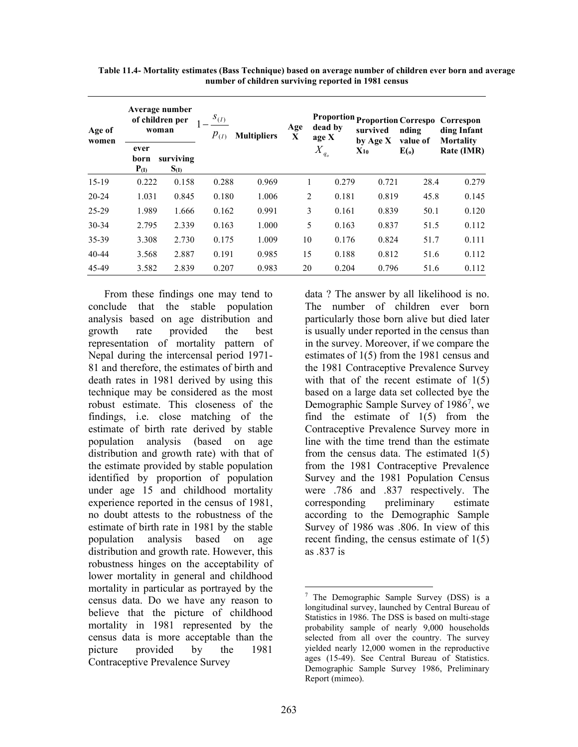| Age of<br>women | Average number<br>of children per<br>woman |                        | $S_{(I)}$<br>$p_{(I)}$ | <b>Multipliers</b> | Age<br>$\mathbf{X}$ | dead by<br>age X            | <b>Proportion Proportion Correspo</b><br>survived<br>by Age X | nding<br>value of | Correspon<br>ding Infant<br><b>Mortality</b> |
|-----------------|--------------------------------------------|------------------------|------------------------|--------------------|---------------------|-----------------------------|---------------------------------------------------------------|-------------------|----------------------------------------------|
|                 | ever<br>born<br>$P_{(I)}$                  | surviving<br>$S_{(I)}$ |                        |                    |                     | $X_{\mathbb{Z}}$<br>$q_{o}$ | $X_{10}$                                                      | E(0)              | Rate (IMR)                                   |
| $15-19$         | 0.222                                      | 0.158                  | 0.288                  | 0.969              |                     | 0.279                       | 0.721                                                         | 28.4              | 0.279                                        |
| $20 - 24$       | 1.031                                      | 0.845                  | 0.180                  | 1.006              | $\overline{2}$      | 0.181                       | 0.819                                                         | 45.8              | 0.145                                        |
| 25-29           | 1.989                                      | 1.666                  | 0.162                  | 0.991              | 3                   | 0.161                       | 0.839                                                         | 50.1              | 0.120                                        |
| $30 - 34$       | 2.795                                      | 2.339                  | 0.163                  | 1.000              | 5                   | 0.163                       | 0.837                                                         | 51.5              | 0.112                                        |
| 35-39           | 3.308                                      | 2.730                  | 0.175                  | 1.009              | 10                  | 0.176                       | 0.824                                                         | 51.7              | 0.111                                        |
| $40 - 44$       | 3.568                                      | 2.887                  | 0.191                  | 0.985              | 15                  | 0.188                       | 0.812                                                         | 51.6              | 0.112                                        |
| 45-49           | 3.582                                      | 2.839                  | 0.207                  | 0.983              | 20                  | 0.204                       | 0.796                                                         | 51.6              | 0.112                                        |

Table 11.4- Mortality estimates (Bass Technique) based on average number of children ever born and average number of children surviving reported in 1981 census

From these findings one may tend to conclude that the stable population analysis based on age distribution and growth rate provided the best representation of mortality pattern of Nepal during the intercensal period 1971- 81 and therefore, the estimates of birth and death rates in 1981 derived by using this technique may be considered as the most robust estimate. This closeness of the findings, i.e. close matching of the estimate of birth rate derived by stable population analysis (based on age distribution and growth rate) with that of the estimate provided by stable population identified by proportion of population under age 15 and childhood mortality experience reported in the census of 1981, no doubt attests to the robustness of the estimate of birth rate in 1981 by the stable population analysis based on age distribution and growth rate. However, this robustness hinges on the acceptability of lower mortality in general and childhood mortality in particular as portrayed by the census data. Do we have any reason to believe that the picture of childhood mortality in 1981 represented by the census data is more acceptable than the picture provided by the 1981 Contraceptive Prevalence Survey

data ? The answer by all likelihood is no. The number of children ever born particularly those born alive but died later is usually under reported in the census than in the survey. Moreover, if we compare the estimates of 1(5) from the 1981 census and the 1981 Contraceptive Prevalence Survey with that of the recent estimate of  $1(5)$ based on a large data set collected bye the Demographic Sample Survey of 1986<sup>7</sup>, we find the estimate of 1(5) from the Contraceptive Prevalence Survey more in line with the time trend than the estimate from the census data. The estimated 1(5) from the 1981 Contraceptive Prevalence Survey and the 1981 Population Census were .786 and .837 respectively. The corresponding preliminary estimate according to the Demographic Sample Survey of 1986 was .806. In view of this recent finding, the census estimate of 1(5) as .837 is

<sup>7</sup> The Demographic Sample Survey (DSS) is a longitudinal survey, launched by Central Bureau of Statistics in 1986. The DSS is based on multi-stage probability sample of nearly 9,000 households selected from all over the country. The survey yielded nearly 12,000 women in the reproductive ages (15-49). See Central Bureau of Statistics. Demographic Sample Survey 1986, Preliminary Report (mimeo).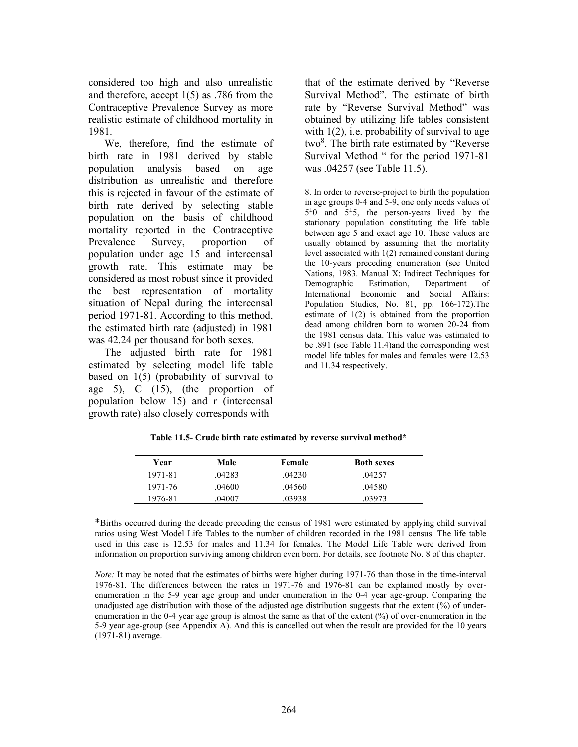considered too high and also unrealistic and therefore, accept 1(5) as .786 from the Contraceptive Prevalence Survey as more realistic estimate of childhood mortality in 1981.

We, therefore, find the estimate of birth rate in 1981 derived by stable population analysis based on age distribution as unrealistic and therefore this is rejected in favour of the estimate of birth rate derived by selecting stable population on the basis of childhood mortality reported in the Contraceptive Prevalence Survey, proportion of population under age 15 and intercensal growth rate. This estimate may be considered as most robust since it provided the best representation of mortality situation of Nepal during the intercensal period 1971-81. According to this method, the estimated birth rate (adjusted) in 1981 was 42.24 per thousand for both sexes.

The adjusted birth rate for 1981 estimated by selecting model life table based on 1(5) (probability of survival to age 5), C (15), (the proportion of population below 15) and r (intercensal growth rate) also closely corresponds with

that of the estimate derived by "Reverse Survival Method". The estimate of birth rate by "Reverse Survival Method" was obtained by utilizing life tables consistent with  $1(2)$ , i.e. probability of survival to age two<sup>8</sup>. The birth rate estimated by "Reverse Survival Method " for the period 1971-81 was .04257 (see Table 11.5).

| Year    | Male   | Female | <b>Both sexes</b> |  |
|---------|--------|--------|-------------------|--|
| 1971-81 | .04283 | .04230 | .042.57           |  |
| 1971-76 | .04600 | .04560 | .04580            |  |
| 1976-81 | .04007 | .03938 | .03973            |  |

Table 11.5- Crude birth rate estimated by reverse survival method\*

\*Births occurred during the decade preceding the census of 1981 were estimated by applying child survival ratios using West Model Life Tables to the number of children recorded in the 1981 census. The life table used in this case is 12.53 for males and 11.34 for females. The Model Life Table were derived from information on proportion surviving among children even born. For details, see footnote No. 8 of this chapter.

Note: It may be noted that the estimates of births were higher during 1971-76 than those in the time-interval 1976-81. The differences between the rates in 1971-76 and 1976-81 can be explained mostly by overenumeration in the 5-9 year age group and under enumeration in the 0-4 year age-group. Comparing the unadjusted age distribution with those of the adjusted age distribution suggests that the extent (%) of underenumeration in the 0-4 year age group is almost the same as that of the extent (%) of over-enumeration in the 5-9 year age-group (see Appendix A). And this is cancelled out when the result are provided for the 10 years (1971-81) average.

<sup>8.</sup> In order to reverse-project to birth the population in age groups 0-4 and 5-9, one only needs values of 5 <sup>L</sup>0 and 5<sup>L</sup>5, the person-years lived by the stationary population constituting the life table between age 5 and exact age 10. These values are usually obtained by assuming that the mortality level associated with 1(2) remained constant during the 10-years preceding enumeration (see United Nations, 1983. Manual X: Indirect Techniques for Demographic Estimation, Department of International Economic and Social Affairs: Population Studies, No. 81, pp. 166-172).The estimate of 1(2) is obtained from the proportion dead among children born to women 20-24 from the 1981 census data. This value was estimated to be .891 (see Table 11.4)and the corresponding west model life tables for males and females were 12.53 and 11.34 respectively.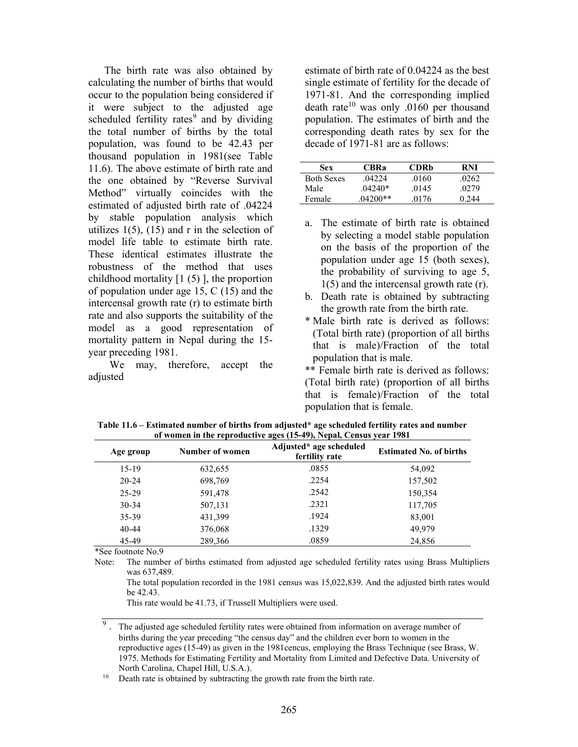The birth rate was also obtained by calculating the number of births that would occur to the population being considered if it were subject to the adjusted age scheduled fertility rates $9$  and by dividing the total number of births by the total population, was found to be 42.43 per thousand population in 1981(see Table 11.6). The above estimate of birth rate and the one obtained by "Reverse Survival Method" virtually coincides with the estimated of adjusted birth rate of .04224 by stable population analysis which utilizes  $1(5)$ ,  $(15)$  and r in the selection of model life table to estimate birth rate. These identical estimates illustrate the robustness of the method that uses childhood mortality  $[1 (5)]$ , the proportion of population under age 15, C (15) and the intercensal growth rate (r) to estimate birth rate and also supports the suitability of the model as a good representation of mortality pattern in Nepal during the 15 year preceding 1981.

 We may, therefore, accept the adjusted

estimate of birth rate of 0.04224 as the best single estimate of fertility for the decade of 1971-81. And the corresponding implied death rate<sup>10</sup> was only .0160 per thousand population. The estimates of birth and the corresponding death rates by sex for the decade of 1971-81 are as follows:

| Sex               | <b>CBR</b> a | CDRb  | RNI    |
|-------------------|--------------|-------|--------|
| <b>Both Sexes</b> | .04224       | .0160 | .0262  |
| Male              | $.04240*$    | .0145 | .02.79 |
| Female            | $.04200**$   | .0176 | 0.244  |

- a. The estimate of birth rate is obtained by selecting a model stable population on the basis of the proportion of the population under age 15 (both sexes), the probability of surviving to age 5, 1(5) and the intercensal growth rate (r).
- b. Death rate is obtained by subtracting the growth rate from the birth rate.
- \* Male birth rate is derived as follows: (Total birth rate) (proportion of all births that is male)/Fraction of the total population that is male.

\*\* Female birth rate is derived as follows: (Total birth rate) (proportion of all births that is female)/Fraction of the total population that is female.

| Age group | Number of women | Adjusted* age scheduled<br>fertility rate | <b>Estimated No. of births</b> |
|-----------|-----------------|-------------------------------------------|--------------------------------|
| $15-19$   | 632,655         | .0855                                     | 54,092                         |
| $20 - 24$ | 698,769         | .2254                                     | 157,502                        |
| $25 - 29$ | 591,478         | .2542                                     | 150,354                        |
| $30 - 34$ | 507,131         | .2321                                     | 117,705                        |
| 35-39     | 431,399         | .1924                                     | 83,001                         |
| $40 - 44$ | 376,068         | .1329                                     | 49.979                         |
| 45-49     | 289,366         | .0859                                     | 24,856                         |

Table 11.6 – Estimated number of births from adjusted\* age scheduled fertility rates and number of women in the reproductive ages (15-49), Nepal, Census year 1981

\*See footnote No.9

Note: The number of births estimated from adjusted age scheduled fertility rates using Brass Multipliers was 637,489.

 The total population recorded in the 1981 census was 15,022,839. And the adjusted birth rates would be 42.43.

This rate would be 41.73, if Trussell Multipliers were used.

 $9$ . The adjusted age scheduled fertility rates were obtained from information on average number of births during the year preceding "the census day" and the children ever born to women in the reproductive ages (15-49) as given in the 1981cencus, employing the Brass Technique (see Brass, W. 1975. Methods for Estimating Fertility and Mortality from Limited and Defective Data. University of North Carolina, Chapel Hill, U.S.A.).

 $10$  Death rate is obtained by subtracting the growth rate from the birth rate.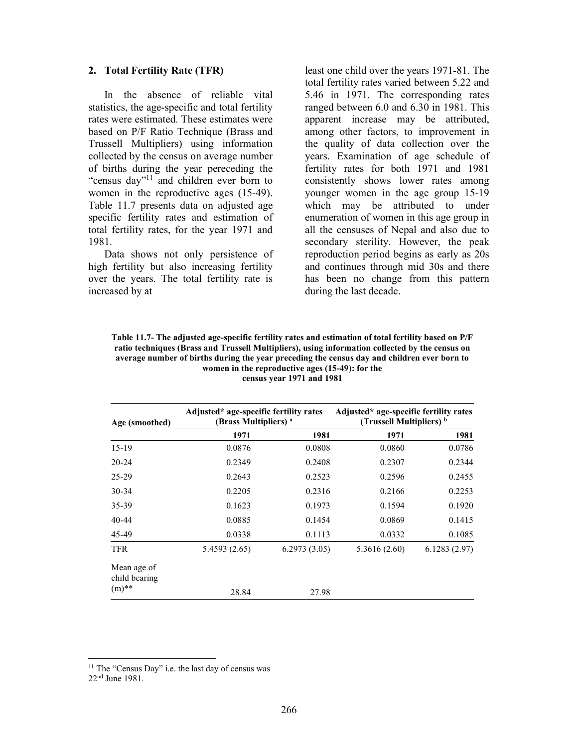### 2. Total Fertility Rate (TFR)

 In the absence of reliable vital statistics, the age-specific and total fertility rates were estimated. These estimates were based on P/F Ratio Technique (Brass and Trussell Multipliers) using information collected by the census on average number of births during the year pereceding the "census day"<sup>11</sup> and children ever born to women in the reproductive ages (15-49). Table 11.7 presents data on adjusted age specific fertility rates and estimation of total fertility rates, for the year 1971 and 1981.

 Data shows not only persistence of high fertility but also increasing fertility over the years. The total fertility rate is increased by at

least one child over the years 1971-81. The total fertility rates varied between 5.22 and 5.46 in 1971. The corresponding rates ranged between 6.0 and 6.30 in 1981. This apparent increase may be attributed, among other factors, to improvement in the quality of data collection over the years. Examination of age schedule of fertility rates for both 1971 and 1981 consistently shows lower rates among younger women in the age group 15-19 which may be attributed to under enumeration of women in this age group in all the censuses of Nepal and also due to secondary sterility. However, the peak reproduction period begins as early as 20s and continues through mid 30s and there has been no change from this pattern during the last decade.

Table 11.7- The adjusted age-specific fertility rates and estimation of total fertility based on P/F ratio techniques (Brass and Trussell Multipliers), using information collected by the census on average number of births during the year preceding the census day and children ever born to women in the reproductive ages (15-49): for the census year 1971 and 1981

| Age (smoothed)               | Adjusted* age-specific fertility rates<br>(Brass Multipliers) <sup>a</sup> |              | Adjusted* age-specific fertility rates<br>(Trussell Multipliers) <sup>b</sup> |              |  |
|------------------------------|----------------------------------------------------------------------------|--------------|-------------------------------------------------------------------------------|--------------|--|
|                              | 1971                                                                       | 1981         | 1971                                                                          | 1981         |  |
| $15-19$                      | 0.0876                                                                     | 0.0808       | 0.0860                                                                        | 0.0786       |  |
| $20 - 24$                    | 0.2349                                                                     | 0.2408       | 0.2307                                                                        | 0.2344       |  |
| 25-29                        | 0.2643                                                                     | 0.2523       | 0.2596                                                                        | 0.2455       |  |
| $30 - 34$                    | 0.2205                                                                     | 0.2316       | 0.2166                                                                        | 0.2253       |  |
| 35-39                        | 0.1623                                                                     | 0.1973       | 0.1594                                                                        | 0.1920       |  |
| 40-44                        | 0.0885                                                                     | 0.1454       | 0.0869                                                                        | 0.1415       |  |
| 45-49                        | 0.0338                                                                     | 0.1113       | 0.0332                                                                        | 0.1085       |  |
| <b>TFR</b>                   | 5.4593 (2.65)                                                              | 6.2973(3.05) | 5.3616(2.60)                                                                  | 6.1283(2.97) |  |
| Mean age of<br>child bearing |                                                                            |              |                                                                               |              |  |
| $(m)$ **                     | 28.84                                                                      | 27.98        |                                                                               |              |  |

<sup>&</sup>lt;sup>11</sup> The "Census Day" i.e. the last day of census was

<sup>22</sup>nd June 1981.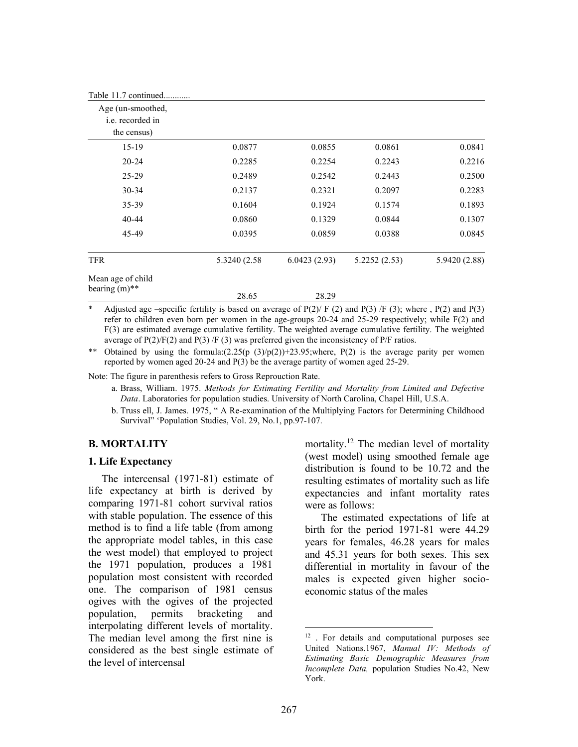| Table 11.7 continued                         |               |              |              |               |
|----------------------------------------------|---------------|--------------|--------------|---------------|
| Age (un-smoothed,<br><i>i.e.</i> recorded in |               |              |              |               |
| the census)                                  |               |              |              |               |
| $15-19$                                      | 0.0877        | 0.0855       | 0.0861       | 0.0841        |
| $20 - 24$                                    | 0.2285        | 0.2254       | 0.2243       | 0.2216        |
| $25 - 29$                                    | 0.2489        | 0.2542       | 0.2443       | 0.2500        |
| $30 - 34$                                    | 0.2137        | 0.2321       | 0.2097       | 0.2283        |
| 35-39                                        | 0.1604        | 0.1924       | 0.1574       | 0.1893        |
| $40 - 44$                                    | 0.0860        | 0.1329       | 0.0844       | 0.1307        |
| 45-49                                        | 0.0395        | 0.0859       | 0.0388       | 0.0845        |
| <b>TFR</b>                                   | 5.3240 (2.58) | 6.0423(2.93) | 5.2252(2.53) | 5.9420 (2.88) |
| Mean age of child                            |               |              |              |               |
| bearing $(m)$ **                             | 28.65         | 28.29        |              |               |

Adjusted age –specific fertility is based on average of  $P(2)/ F(2)$  and  $P(3)/ F(3)$ ; where ,  $P(2)$  and  $P(3)$ refer to children even born per women in the age-groups 20-24 and 25-29 respectively; while F(2) and F(3) are estimated average cumulative fertility. The weighted average cumulative fertility. The weighted average of  $P(2)/F(2)$  and  $P(3)/F(3)$  was preferred given the inconsistency of P/F ratios.

\*\* Obtained by using the formula: $(2.25(p (3)/p(2))+23.95)$ ; where, P(2) is the average parity per women reported by women aged 20-24 and P(3) be the average partity of women aged 25-29.

Note: The figure in parenthesis refers to Gross Reprouction Rate.

a. Brass, William. 1975. Methods for Estimating Fertility and Mortality from Limited and Defective Data. Laboratories for population studies. University of North Carolina, Chapel Hill, U.S.A.

b. Truss ell, J. James. 1975, " A Re-examination of the Multiplying Factors for Determining Childhood Survival" 'Population Studies, Vol. 29, No.1, pp.97-107.

#### B. MORTALITY

### 1. Life Expectancy

 The intercensal (1971-81) estimate of life expectancy at birth is derived by comparing 1971-81 cohort survival ratios with stable population. The essence of this method is to find a life table (from among the appropriate model tables, in this case the west model) that employed to project the 1971 population, produces a 1981 population most consistent with recorded one. The comparison of 1981 census ogives with the ogives of the projected population, permits bracketing and interpolating different levels of mortality. The median level among the first nine is considered as the best single estimate of the level of intercensal

mortality.<sup>12</sup> The median level of mortality (west model) using smoothed female age distribution is found to be 10.72 and the resulting estimates of mortality such as life expectancies and infant mortality rates were as follows:

The estimated expectations of life at birth for the period 1971-81 were 44.29 years for females, 46.28 years for males and 45.31 years for both sexes. This sex differential in mortality in favour of the males is expected given higher socioeconomic status of the males

<sup>&</sup>lt;sup>12</sup>. For details and computational purposes see United Nations.1967, Manual IV: Methods of Estimating Basic Demographic Measures from Incomplete Data, population Studies No.42, New York.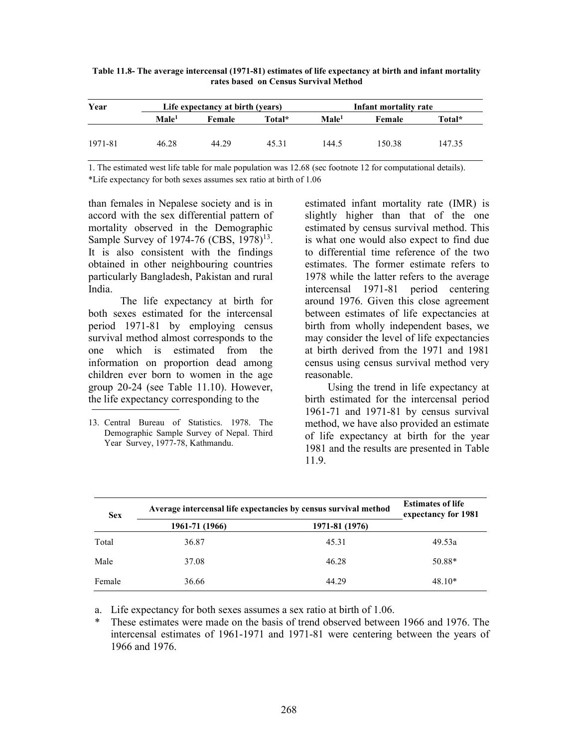| Year    |                   | Life expectancy at birth (years) |        |                   | Infant mortality rate |        |  |
|---------|-------------------|----------------------------------|--------|-------------------|-----------------------|--------|--|
|         | $\mathbf{Male}^1$ | <b>Female</b>                    | Total* | Male <sup>1</sup> | Female                | Total* |  |
|         |                   |                                  |        |                   |                       |        |  |
| 1971-81 | 46.28             | 44.29                            | 45.31  | 144.5             | 150.38                | 147.35 |  |

Table 11.8- The average intercensal (1971-81) estimates of life expectancy at birth and infant mortality rates based on Census Survival Method

1. The estimated west life table for male population was 12.68 (sec footnote 12 for computational details). \*Life expectancy for both sexes assumes sex ratio at birth of 1.06

than females in Nepalese society and is in accord with the sex differential pattern of mortality observed in the Demographic Sample Survey of 1974-76 (CBS, 1978)<sup>13</sup>. It is also consistent with the findings obtained in other neighbouring countries particularly Bangladesh, Pakistan and rural India.

 The life expectancy at birth for both sexes estimated for the intercensal period 1971-81 by employing census survival method almost corresponds to the one which is estimated from the information on proportion dead among children ever born to women in the age group 20-24 (see Table 11.10). However, the life expectancy corresponding to the

13. Central Bureau of Statistics. 1978. The Demographic Sample Survey of Nepal. Third Year Survey, 1977-78, Kathmandu.

estimated infant mortality rate (IMR) is slightly higher than that of the one estimated by census survival method. This is what one would also expect to find due to differential time reference of the two estimates. The former estimate refers to 1978 while the latter refers to the average intercensal 1971-81 period centering around 1976. Given this close agreement between estimates of life expectancies at birth from wholly independent bases, we may consider the level of life expectancies at birth derived from the 1971 and 1981 census using census survival method very reasonable.

 Using the trend in life expectancy at birth estimated for the intercensal period 1961-71 and 1971-81 by census survival method, we have also provided an estimate of life expectancy at birth for the year 1981 and the results are presented in Table 11.9.

| <b>Sex</b> | Average intercensal life expectancies by census survival method | <b>Estimates of life</b><br>expectancy for 1981 |          |
|------------|-----------------------------------------------------------------|-------------------------------------------------|----------|
|            | 1961-71 (1966)                                                  | 1971-81 (1976)                                  |          |
| Total      | 36.87                                                           | 45.31                                           | 49.53a   |
| Male       | 37.08                                                           | 46.28                                           | 50.88*   |
| Female     | 36.66                                                           | 44.29                                           | $48.10*$ |

a. Life expectancy for both sexes assumes a sex ratio at birth of 1.06.

These estimates were made on the basis of trend observed between 1966 and 1976. The intercensal estimates of 1961-1971 and 1971-81 were centering between the years of 1966 and 1976.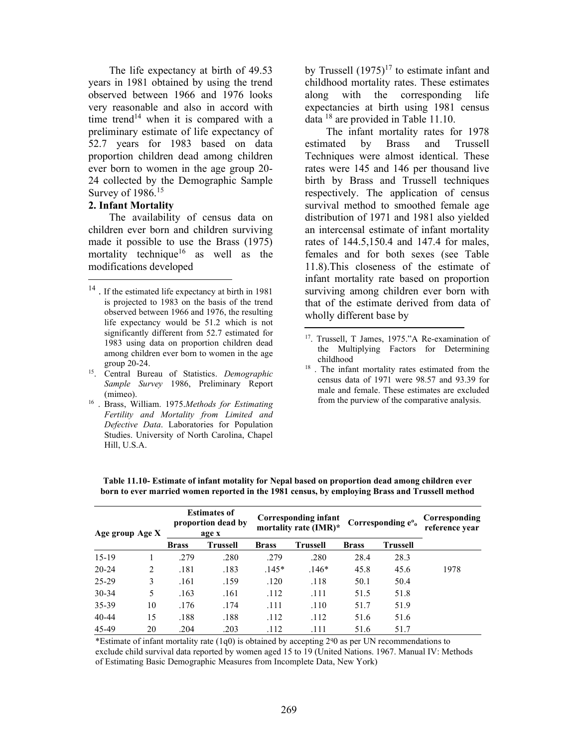The life expectancy at birth of 49.53 years in 1981 obtained by using the trend observed between 1966 and 1976 looks very reasonable and also in accord with time trend<sup>14</sup> when it is compared with a preliminary estimate of life expectancy of 52.7 years for 1983 based on data proportion children dead among children ever born to women in the age group 20- 24 collected by the Demographic Sample Survey of 1986.<sup>15</sup>

# 2. Infant Mortality

 The availability of census data on children ever born and children surviving made it possible to use the Brass (1975) mortality technique<sup>16</sup> as well as the modifications developed

<sup>16</sup> . Brass, William. 1975. Methods for Estimating Fertility and Mortality from Limited and Defective Data. Laboratories for Population Studies. University of North Carolina, Chapel Hill, U.S.A.

by Trussell  $(1975)^{17}$  to estimate infant and childhood mortality rates. These estimates along with the corresponding life expectancies at birth using 1981 census data <sup>18</sup> are provided in Table 11.10.

 The infant mortality rates for 1978 estimated by Brass and Trussell Techniques were almost identical. These rates were 145 and 146 per thousand live birth by Brass and Trussell techniques respectively. The application of census survival method to smoothed female age distribution of 1971 and 1981 also yielded an intercensal estimate of infant mortality rates of 144.5,150.4 and 147.4 for males, females and for both sexes (see Table 11.8).This closeness of the estimate of infant mortality rate based on proportion surviving among children ever born with that of the estimate derived from data of wholly different base by

| Age group Age X |    |              | <b>Estimates of</b><br>proportion dead by<br>age x |              | Corresponding infant<br>mortality rate (IMR)* |              | Corresponding e <sup>o</sup> <sub>o</sub> | Corresponding<br>reference year |
|-----------------|----|--------------|----------------------------------------------------|--------------|-----------------------------------------------|--------------|-------------------------------------------|---------------------------------|
|                 |    | <b>Brass</b> | <b>Trussell</b>                                    | <b>Brass</b> | <b>Trussell</b>                               | <b>Brass</b> | <b>Trussell</b>                           |                                 |
| $15-19$         |    | .279         | .280                                               | .279         | .280                                          | 28.4         | 28.3                                      |                                 |
| $20 - 24$       | 2  | .181         | .183                                               | $.145*$      | $.146*$                                       | 45.8         | 45.6                                      | 1978                            |
| 25-29           | 3  | .161         | .159                                               | .120         | .118                                          | 50.1         | 50.4                                      |                                 |
| $30 - 34$       | 5  | .163         | .161                                               | .112         | .111                                          | 51.5         | 51.8                                      |                                 |
| 35-39           | 10 | .176         | .174                                               | .111         | .110                                          | 51.7         | 51.9                                      |                                 |
| $40 - 44$       | 15 | .188         | .188                                               | .112         | .112                                          | 51.6         | 51.6                                      |                                 |
| 45-49           | 20 | .204         | .203                                               | .112         | .111                                          | 51.6         | 51.7                                      |                                 |

Table 11.10- Estimate of infant motality for Nepal based on proportion dead among children ever born to ever married women reported in the 1981 census, by employing Brass and Trussell method

\*Estimate of infant mortality rate  $(1q0)$  is obtained by accepting 2% as per UN recommendations to exclude child survival data reported by women aged 15 to 19 (United Nations. 1967. Manual IV: Methods of Estimating Basic Demographic Measures from Incomplete Data, New York)

<sup>&</sup>lt;sup>14</sup>. If the estimated life expectancy at birth in 1981 is projected to 1983 on the basis of the trend observed between 1966 and 1976, the resulting life expectancy would be 51.2 which is not significantly different from 52.7 estimated for 1983 using data on proportion children dead among children ever born to women in the age group 20-24.

 $15.$  Central Bureau of Statistics. Demographic Sample Survey 1986, Preliminary Report (mimeo).

<sup>&</sup>lt;sup>17</sup>. Trussell, T James, 1975."A Re-examination of the Multiplying Factors for Determining childhood

<sup>&</sup>lt;sup>18</sup>. The infant mortality rates estimated from the census data of 1971 were 98.57 and 93.39 for male and female. These estimates are excluded from the purview of the comparative analysis.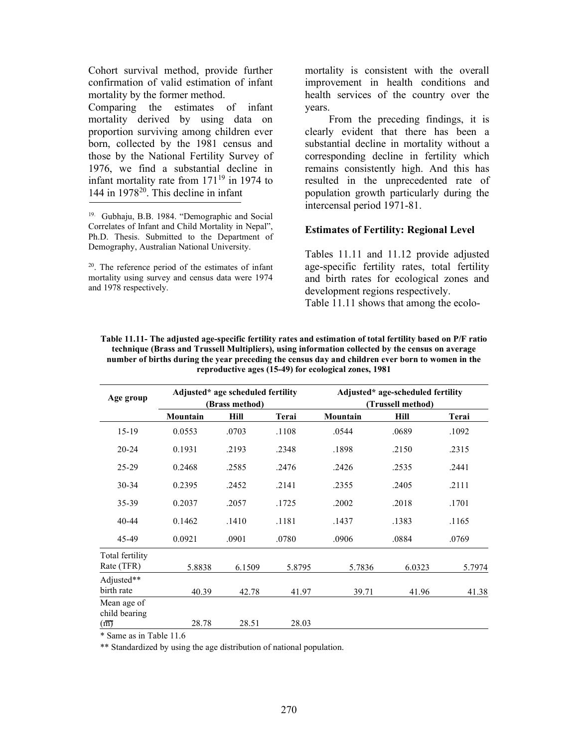Cohort survival method, provide further confirmation of valid estimation of infant mortality by the former method.

Comparing the estimates of infant mortality derived by using data on proportion surviving among children ever born, collected by the 1981 census and those by the National Fertility Survey of 1976, we find a substantial decline in infant mortality rate from  $171^{19}$  in 1974 to 144 in  $1978^{20}$ . This decline in infant

<sup>20</sup>. The reference period of the estimates of infant mortality using survey and census data were 1974 and 1978 respectively.

mortality is consistent with the overall improvement in health conditions and health services of the country over the years.

From the preceding findings, it is clearly evident that there has been a substantial decline in mortality without a corresponding decline in fertility which remains consistently high. And this has resulted in the unprecedented rate of population growth particularly during the intercensal period 1971-81.

# Estimates of Fertility: Regional Level

Tables 11.11 and 11.12 provide adjusted age-specific fertility rates, total fertility and birth rates for ecological zones and development regions respectively. Table 11.11 shows that among the ecolo-

| Age group                     |                       | Adjusted* age scheduled fertility<br>(Brass method) |        |          | Adjusted* age-scheduled fertility<br>(Trussell method) |        |  |
|-------------------------------|-----------------------|-----------------------------------------------------|--------|----------|--------------------------------------------------------|--------|--|
|                               | Mountain              | Hill                                                | Terai  | Mountain | Hill                                                   | Terai  |  |
| $15-19$                       | 0.0553                | .0703                                               | .1108  | .0544    | .0689                                                  | .1092  |  |
| $20 - 24$                     | 0.1931                | .2193                                               | .2348  | .1898    | .2150                                                  | .2315  |  |
| $25 - 29$                     | 0.2468                | .2585                                               | .2476  | .2426    | .2535                                                  | .2441  |  |
| $30 - 34$                     | 0.2395                | .2452                                               | .2141  | .2355    | .2405                                                  | .2111  |  |
| 35-39                         | 0.2037                | .2057                                               | .1725  | .2002    | .2018                                                  | .1701  |  |
| $40 - 44$                     | 0.1462                | .1410                                               | .1181  | .1437    | .1383                                                  | .1165  |  |
| 45-49                         | 0.0921                | .0901                                               | .0780  | .0906    | .0884                                                  | .0769  |  |
| Total fertility<br>Rate (TFR) | 5.8838                | 6.1509                                              | 5.8795 | 5.7836   | 6.0323                                                 | 5.7974 |  |
| Adjusted**<br>birth rate      | 40.39                 | 42.78                                               | 41.97  | 39.71    | 41.96                                                  | 41.38  |  |
| Mean age of<br>child bearing  |                       |                                                     |        |          |                                                        |        |  |
| (m)<br>$\sim$ $\sim$          | 28.78<br>$T = 11.11C$ | 28.51                                               | 28.03  |          |                                                        |        |  |

Table 11.11- The adjusted age-specific fertility rates and estimation of total fertility based on P/F ratio technique (Brass and Trussell Multipliers), using information collected by the census on average number of births during the year preceding the census day and children ever born to women in the reproductive ages (15-49) for ecological zones, 1981

\* Same as in Table 11.6

\*\* Standardized by using the age distribution of national population.

<sup>19.</sup> Gubhaju, B.B. 1984. "Demographic and Social Correlates of Infant and Child Mortality in Nepal", Ph.D. Thesis. Submitted to the Department of Demography, Australian National University.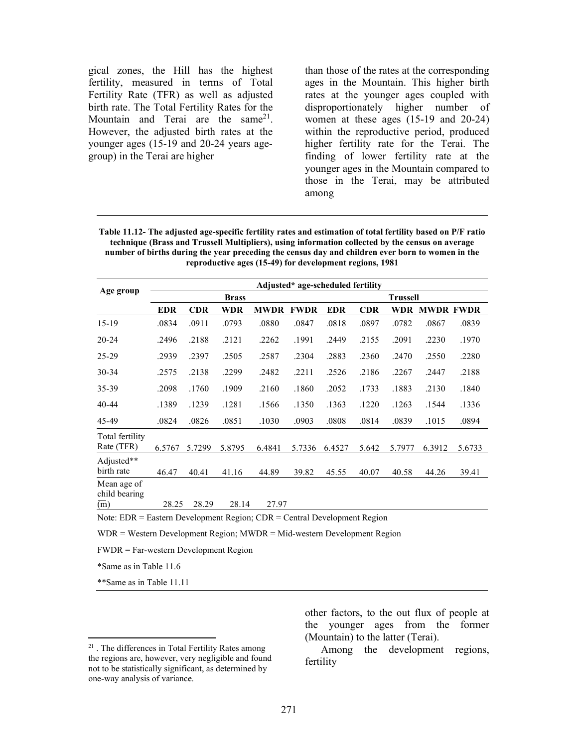gical zones, the Hill has the highest fertility, measured in terms of Total Fertility Rate (TFR) as well as adjusted birth rate. The Total Fertility Rates for the Mountain and Terai are the same<sup>21</sup>. However, the adjusted birth rates at the younger ages (15-19 and 20-24 years agegroup) in the Terai are higher

than those of the rates at the corresponding ages in the Mountain. This higher birth rates at the younger ages coupled with disproportionately higher number of women at these ages (15-19 and 20-24) within the reproductive period, produced higher fertility rate for the Terai. The finding of lower fertility rate at the younger ages in the Mountain compared to those in the Terai, may be attributed among

Table 11.12- The adjusted age-specific fertility rates and estimation of total fertility based on P/F ratio technique (Brass and Trussell Multipliers), using information collected by the census on average number of births during the year preceding the census day and children ever born to women in the reproductive ages (15-49) for development regions, 1981

|                                                | Adjusted* age-scheduled fertility |            |        |             |             |            |       |                 |                  |        |
|------------------------------------------------|-----------------------------------|------------|--------|-------------|-------------|------------|-------|-----------------|------------------|--------|
| Age group                                      | <b>Brass</b>                      |            |        |             |             |            |       | <b>Trussell</b> |                  |        |
|                                                | <b>EDR</b>                        | <b>CDR</b> | WDR    | <b>MWDR</b> | <b>FWDR</b> | <b>EDR</b> | CDR   | WDR             | <b>MWDR FWDR</b> |        |
| $15-19$                                        | .0834                             | .0911      | .0793  | .0880       | .0847       | .0818      | .0897 | .0782           | .0867            | .0839  |
| $20 - 24$                                      | .2496                             | .2188      | .2121  | .2262       | .1991       | .2449      | .2155 | .2091           | .2230            | .1970  |
| $25 - 29$                                      | .2939                             | .2397      | .2505  | .2587       | .2304       | .2883      | .2360 | .2470           | .2550            | .2280  |
| $30 - 34$                                      | .2575                             | .2138      | .2299  | .2482       | .2211       | .2526      | .2186 | .2267           | .2447            | .2188  |
| 35-39                                          | .2098                             | .1760      | .1909  | .2160       | .1860       | .2052      | .1733 | .1883           | .2130            | .1840  |
| 40-44                                          | .1389                             | .1239      | .1281  | .1566       | .1350       | .1363      | .1220 | .1263           | .1544            | .1336  |
| 45-49                                          | .0824                             | .0826      | .0851  | .1030       | .0903       | .0808      | .0814 | .0839           | .1015            | .0894  |
| Total fertility<br>Rate (TFR)                  | 6.5767                            | 5.7299     | 5.8795 | 6.4841      | 5.7336      | 6.4527     | 5.642 | 5.7977          | 6.3912           | 5.6733 |
| Adjusted**<br>birth rate                       | 46.47                             | 40.41      | 41.16  | 44.89       | 39.82       | 45.55      | 40.07 | 40.58           | 44.26            | 39.41  |
| Mean age of<br>child bearing<br>$\overline{m}$ | 28.25                             | 28.29      | 28.14  | 27.97       |             |            |       |                 |                  |        |

Note: EDR = Eastern Development Region; CDR = Central Development Region

WDR = Western Development Region; MWDR = Mid-western Development Region

FWDR = Far-western Development Region

\*Same as in Table 11.6

\*\*Same as in Table 11.11

other factors, to the out flux of people at the younger ages from the former (Mountain) to the latter (Terai).

Among the development regions, fertility

<sup>21</sup> . The differences in Total Fertility Rates among the regions are, however, very negligible and found not to be statistically significant, as determined by one-way analysis of variance.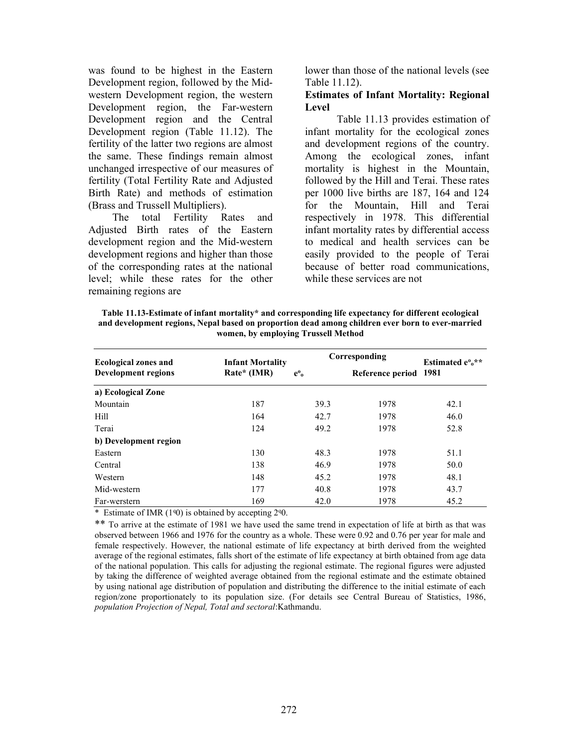was found to be highest in the Eastern Development region, followed by the Midwestern Development region, the western Development region, the Far-western Development region and the Central Development region (Table 11.12). The fertility of the latter two regions are almost the same. These findings remain almost unchanged irrespective of our measures of fertility (Total Fertility Rate and Adjusted Birth Rate) and methods of estimation (Brass and Trussell Multipliers).

 The total Fertility Rates and Adjusted Birth rates of the Eastern development region and the Mid-western development regions and higher than those of the corresponding rates at the national level; while these rates for the other remaining regions are

lower than those of the national levels (see Table 11.12).

### Estimates of Infant Mortality: Regional Level

Table 11.13 provides estimation of infant mortality for the ecological zones and development regions of the country. Among the ecological zones, infant mortality is highest in the Mountain, followed by the Hill and Terai. These rates per 1000 live births are 187, 164 and 124 for the Mountain, Hill and Terai respectively in 1978. This differential infant mortality rates by differential access to medical and health services can be easily provided to the people of Terai because of better road communications, while these services are not

Table 11.13-Estimate of infant mortality\* and corresponding life expectancy for different ecological and development regions, Nepal based on proportion dead among children ever born to ever-married women, by employing Trussell Method

| <b>Ecological zones and</b> | <b>Infant Mortality</b> |                  | Corresponding         | Estimated $e^{0}e^{**}$ |  |
|-----------------------------|-------------------------|------------------|-----------------------|-------------------------|--|
| <b>Development regions</b>  | Rate* (IMR)             | $e^{\mathbf{0}}$ | Reference period 1981 |                         |  |
| a) Ecological Zone          |                         |                  |                       |                         |  |
| Mountain                    | 187                     | 39.3             | 1978                  | 42.1                    |  |
| <b>Hill</b>                 | 164                     | 42.7             | 1978                  | 46.0                    |  |
| Terai                       | 124                     | 49.2             | 1978                  | 52.8                    |  |
| b) Development region       |                         |                  |                       |                         |  |
| Eastern                     | 130                     | 48.3             | 1978                  | 51.1                    |  |
| Central                     | 138                     | 46.9             | 1978                  | 50.0                    |  |
| Western                     | 148                     | 45.2             | 1978                  | 48.1                    |  |
| Mid-western                 | 177                     | 40.8             | 1978                  | 43.7                    |  |
| Far-werstern                | 169                     | 42.0             | 1978                  | 45.2                    |  |

\* Estimate of IMR  $(1<sup>q</sup>0)$  is obtained by accepting  $2<sup>q</sup>0$ .

\*\* To arrive at the estimate of 1981 we have used the same trend in expectation of life at birth as that was observed between 1966 and 1976 for the country as a whole. These were 0.92 and 0.76 per year for male and female respectively. However, the national estimate of life expectancy at birth derived from the weighted average of the regional estimates, falls short of the estimate of life expectancy at birth obtained from age data of the national population. This calls for adjusting the regional estimate. The regional figures were adjusted by taking the difference of weighted average obtained from the regional estimate and the estimate obtained by using national age distribution of population and distributing the difference to the initial estimate of each region/zone proportionately to its population size. (For details see Central Bureau of Statistics, 1986, population Projection of Nepal, Total and sectoral:Kathmandu.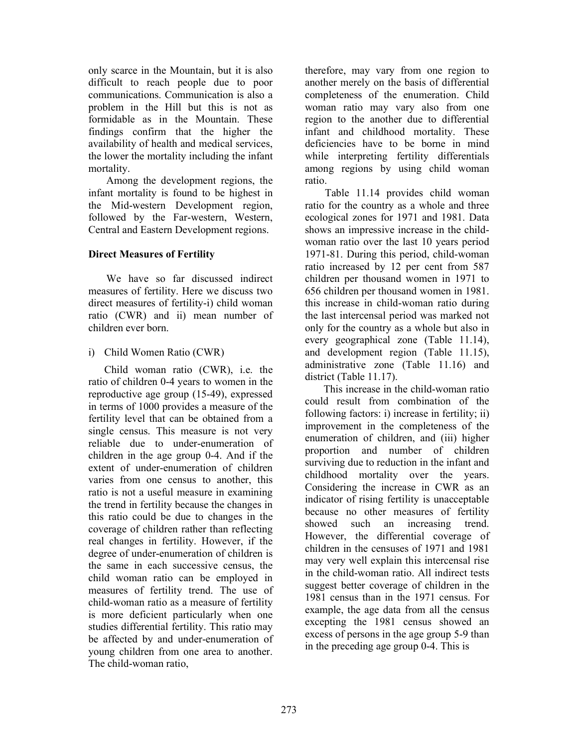only scarce in the Mountain, but it is also difficult to reach people due to poor communications. Communication is also a problem in the Hill but this is not as formidable as in the Mountain. These findings confirm that the higher the availability of health and medical services, the lower the mortality including the infant mortality.

 Among the development regions, the infant mortality is found to be highest in the Mid-western Development region, followed by the Far-western, Western, Central and Eastern Development regions.

# Direct Measures of Fertility

 We have so far discussed indirect measures of fertility. Here we discuss two direct measures of fertility-i) child woman ratio (CWR) and ii) mean number of children ever born.

# i) Child Women Ratio (CWR)

Child woman ratio (CWR), i.e. the ratio of children 0-4 years to women in the reproductive age group (15-49), expressed in terms of 1000 provides a measure of the fertility level that can be obtained from a single census. This measure is not very reliable due to under-enumeration of children in the age group 0-4. And if the extent of under-enumeration of children varies from one census to another, this ratio is not a useful measure in examining the trend in fertility because the changes in this ratio could be due to changes in the coverage of children rather than reflecting real changes in fertility. However, if the degree of under-enumeration of children is the same in each successive census, the child woman ratio can be employed in measures of fertility trend. The use of child-woman ratio as a measure of fertility is more deficient particularly when one studies differential fertility. This ratio may be affected by and under-enumeration of young children from one area to another. The child-woman ratio,

therefore, may vary from one region to another merely on the basis of differential completeness of the enumeration. Child woman ratio may vary also from one region to the another due to differential infant and childhood mortality. These deficiencies have to be borne in mind while interpreting fertility differentials among regions by using child woman ratio.

 Table 11.14 provides child woman ratio for the country as a whole and three ecological zones for 1971 and 1981. Data shows an impressive increase in the childwoman ratio over the last 10 years period 1971-81. During this period, child-woman ratio increased by 12 per cent from 587 children per thousand women in 1971 to 656 children per thousand women in 1981. this increase in child-woman ratio during the last intercensal period was marked not only for the country as a whole but also in every geographical zone (Table 11.14), and development region (Table 11.15), administrative zone (Table 11.16) and district (Table 11.17).

 This increase in the child-woman ratio could result from combination of the following factors: i) increase in fertility; ii) improvement in the completeness of the enumeration of children, and (iii) higher proportion and number of children surviving due to reduction in the infant and childhood mortality over the years. Considering the increase in CWR as an indicator of rising fertility is unacceptable because no other measures of fertility showed such an increasing trend. However, the differential coverage of children in the censuses of 1971 and 1981 may very well explain this intercensal rise in the child-woman ratio. All indirect tests suggest better coverage of children in the 1981 census than in the 1971 census. For example, the age data from all the census excepting the 1981 census showed an excess of persons in the age group 5-9 than in the preceding age group 0-4. This is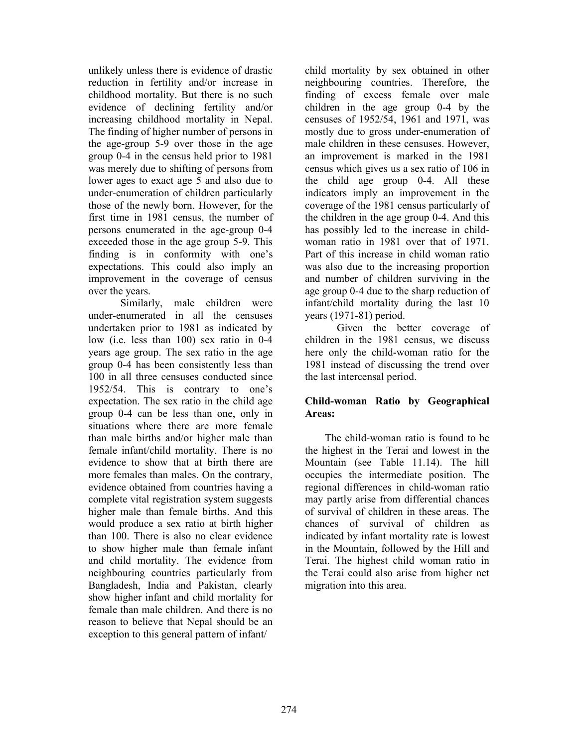unlikely unless there is evidence of drastic reduction in fertility and/or increase in childhood mortality. But there is no such evidence of declining fertility and/or increasing childhood mortality in Nepal. The finding of higher number of persons in the age-group 5-9 over those in the age group 0-4 in the census held prior to 1981 was merely due to shifting of persons from lower ages to exact age 5 and also due to under-enumeration of children particularly those of the newly born. However, for the first time in 1981 census, the number of persons enumerated in the age-group 0-4 exceeded those in the age group 5-9. This finding is in conformity with one's expectations. This could also imply an improvement in the coverage of census over the years.

 Similarly, male children were under-enumerated in all the censuses undertaken prior to 1981 as indicated by low (i.e. less than 100) sex ratio in 0-4 years age group. The sex ratio in the age group 0-4 has been consistently less than 100 in all three censuses conducted since 1952/54. This is contrary to one's expectation. The sex ratio in the child age group 0-4 can be less than one, only in situations where there are more female than male births and/or higher male than female infant/child mortality. There is no evidence to show that at birth there are more females than males. On the contrary, evidence obtained from countries having a complete vital registration system suggests higher male than female births. And this would produce a sex ratio at birth higher than 100. There is also no clear evidence to show higher male than female infant and child mortality. The evidence from neighbouring countries particularly from Bangladesh, India and Pakistan, clearly show higher infant and child mortality for female than male children. And there is no reason to believe that Nepal should be an exception to this general pattern of infant/

child mortality by sex obtained in other neighbouring countries. Therefore, the finding of excess female over male children in the age group 0-4 by the censuses of 1952/54, 1961 and 1971, was mostly due to gross under-enumeration of male children in these censuses. However, an improvement is marked in the 1981 census which gives us a sex ratio of 106 in the child age group 0-4. All these indicators imply an improvement in the coverage of the 1981 census particularly of the children in the age group 0-4. And this has possibly led to the increase in childwoman ratio in 1981 over that of 1971. Part of this increase in child woman ratio was also due to the increasing proportion and number of children surviving in the age group 0-4 due to the sharp reduction of infant/child mortality during the last 10 years (1971-81) period.

 Given the better coverage of children in the 1981 census, we discuss here only the child-woman ratio for the 1981 instead of discussing the trend over the last intercensal period.

# Child-woman Ratio by Geographical Areas:

 The child-woman ratio is found to be the highest in the Terai and lowest in the Mountain (see Table 11.14). The hill occupies the intermediate position. The regional differences in child-woman ratio may partly arise from differential chances of survival of children in these areas. The chances of survival of children as indicated by infant mortality rate is lowest in the Mountain, followed by the Hill and Terai. The highest child woman ratio in the Terai could also arise from higher net migration into this area.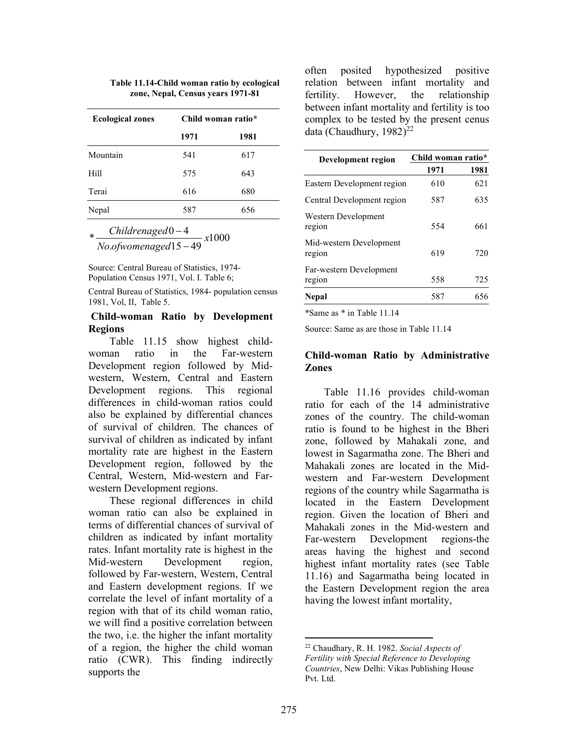| Table 11.14-Child woman ratio by ecological |  |
|---------------------------------------------|--|
| zone, Nepal, Census years 1971-81           |  |

|      | Child woman ratio* |
|------|--------------------|
| 1971 | 1981               |
| 541  | 617                |
| 575  | 643                |
| 616  | 680                |
| 587  | 656                |
|      |                    |

 $\frac{\text{Childrenaged 0-4}}{\text{N}}$ Childrenaged  $\overline{\phantom{0}}$ 

.ofwomenaged15-49 No ofwomenaged  $\overline{\phantom{a}}$ 

Source: Central Bureau of Statistics, 1974- Population Census 1971, Vol. I. Table 6;

Central Bureau of Statistics, 1984- population census 1981, Vol, II, Table 5.

1000

### Child-woman Ratio by Development Regions

 Table 11.15 show highest childwoman ratio in the Far-western Development region followed by Midwestern, Western, Central and Eastern Development regions. This regional differences in child-woman ratios could also be explained by differential chances of survival of children. The chances of survival of children as indicated by infant mortality rate are highest in the Eastern Development region, followed by the Central, Western, Mid-western and Farwestern Development regions.

 These regional differences in child woman ratio can also be explained in terms of differential chances of survival of children as indicated by infant mortality rates. Infant mortality rate is highest in the Mid-western Development region, followed by Far-western, Western, Central and Eastern development regions. If we correlate the level of infant mortality of a region with that of its child woman ratio, we will find a positive correlation between the two, i.e. the higher the infant mortality of a region, the higher the child woman ratio (CWR). This finding indirectly supports the

often posited hypothesized positive relation between infant mortality and fertility. However, the relationship between infant mortality and fertility is too complex to be tested by the present cenus data (Chaudhury,  $1982$ )<sup>22</sup>

| Development region                | Child woman ratio* |      |
|-----------------------------------|--------------------|------|
|                                   | 1971               | 1981 |
| Eastern Development region        | 610                | 621  |
| Central Development region        | 587                | 635  |
| Western Development<br>region     | 554                | 661  |
| Mid-western Development<br>region | 619                | 720  |
| Far-western Development<br>region | 558                | 725  |
| Nepal                             | 587                | 656  |
|                                   |                    |      |

\*Same as \* in Table 11.14

Source: Same as are those in Table 11.14

# Child-woman Ratio by Administrative Zones

 Table 11.16 provides child-woman ratio for each of the 14 administrative zones of the country. The child-woman ratio is found to be highest in the Bheri zone, followed by Mahakali zone, and lowest in Sagarmatha zone. The Bheri and Mahakali zones are located in the Midwestern and Far-western Development regions of the country while Sagarmatha is located in the Eastern Development region. Given the location of Bheri and Mahakali zones in the Mid-western and Far-western Development regions-the areas having the highest and second highest infant mortality rates (see Table 11.16) and Sagarmatha being located in the Eastern Development region the area having the lowest infant mortality,

<sup>22</sup> Chaudhary, R. H. 1982. Social Aspects of Fertility with Special Reference to Developing Countries, New Delhi: Vikas Publishing House Pvt. Ltd.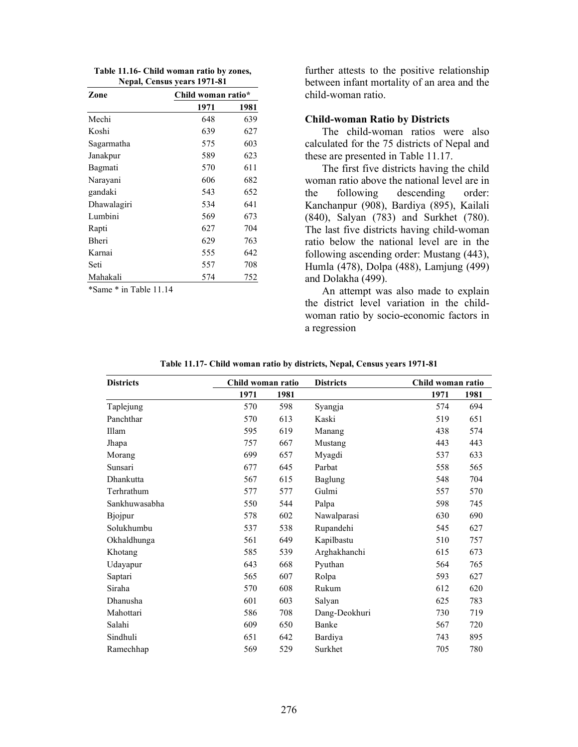|  |                             | Table 11.16- Child woman ratio by zones, |
|--|-----------------------------|------------------------------------------|
|  | Nepal, Census years 1971-81 |                                          |

| Zone         |      | Child woman ratio* |  |  |  |
|--------------|------|--------------------|--|--|--|
|              | 1971 | 1981               |  |  |  |
| Mechi        | 648  | 639                |  |  |  |
| Koshi        | 639  | 627                |  |  |  |
| Sagarmatha   | 575  | 603                |  |  |  |
| Janakpur     | 589  | 623                |  |  |  |
| Bagmati      | 570  | 611                |  |  |  |
| Narayani     | 606  | 682                |  |  |  |
| gandaki      | 543  | 652                |  |  |  |
| Dhawalagiri  | 534  | 641                |  |  |  |
| Lumbini      | 569  | 673                |  |  |  |
| Rapti        | 627  | 704                |  |  |  |
| <b>Bheri</b> | 629  | 763                |  |  |  |
| Karnai       | 555  | 642                |  |  |  |
| Seti         | 557  | 708                |  |  |  |
| Mahakali     | 574  | 752                |  |  |  |

\*Same \* in Table 11.14

further attests to the positive relationship between infant mortality of an area and the child-woman ratio.

#### Child-woman Ratio by Districts

 The child-woman ratios were also calculated for the 75 districts of Nepal and these are presented in Table 11.17.

 The first five districts having the child woman ratio above the national level are in the following descending order: Kanchanpur (908), Bardiya (895), Kailali (840), Salyan (783) and Surkhet (780). The last five districts having child-woman ratio below the national level are in the following ascending order: Mustang (443), Humla (478), Dolpa (488), Lamjung (499) and Dolakha (499).

 An attempt was also made to explain the district level variation in the childwoman ratio by socio-economic factors in a regression

| Table 11.17- Child woman ratio by districts, Nepal, Census years 1971-81 |  |
|--------------------------------------------------------------------------|--|
|                                                                          |  |

| <b>Districts</b> | Child woman ratio |      | <b>Districts</b> | Child woman ratio |      |
|------------------|-------------------|------|------------------|-------------------|------|
|                  | 1971              | 1981 |                  | 1971              | 1981 |
| Taplejung        | 570               | 598  | Syangja          | 574               | 694  |
| Panchthar        | 570               | 613  | Kaski            | 519               | 651  |
| Illam            | 595               | 619  | Manang           | 438               | 574  |
| Jhapa            | 757               | 667  | Mustang          | 443               | 443  |
| Morang           | 699               | 657  | Myagdi           | 537               | 633  |
| Sunsari          | 677               | 645  | Parbat           | 558               | 565  |
| Dhankutta        | 567               | 615  | Baglung          | 548               | 704  |
| Terhrathum       | 577               | 577  | Gulmi            | 557               | 570  |
| Sankhuwasabha    | 550               | 544  | Palpa            | 598               | 745  |
| Bjojpur          | 578               | 602  | Nawalparasi      | 630               | 690  |
| Solukhumbu       | 537               | 538  | Rupandehi        | 545               | 627  |
| Okhaldhunga      | 561               | 649  | Kapilbastu       | 510               | 757  |
| Khotang          | 585               | 539  | Arghakhanchi     | 615               | 673  |
| Udayapur         | 643               | 668  | Pyuthan          | 564               | 765  |
| Saptari          | 565               | 607  | Rolpa            | 593               | 627  |
| Siraha           | 570               | 608  | Rukum            | 612               | 620  |
| Dhanusha         | 601               | 603  | Salyan           | 625               | 783  |
| Mahottari        | 586               | 708  | Dang-Deokhuri    | 730               | 719  |
| Salahi           | 609               | 650  | Banke            | 567               | 720  |
| Sindhuli         | 651               | 642  | Bardiya          | 743               | 895  |
| Ramechhap        | 569               | 529  | Surkhet          | 705               | 780  |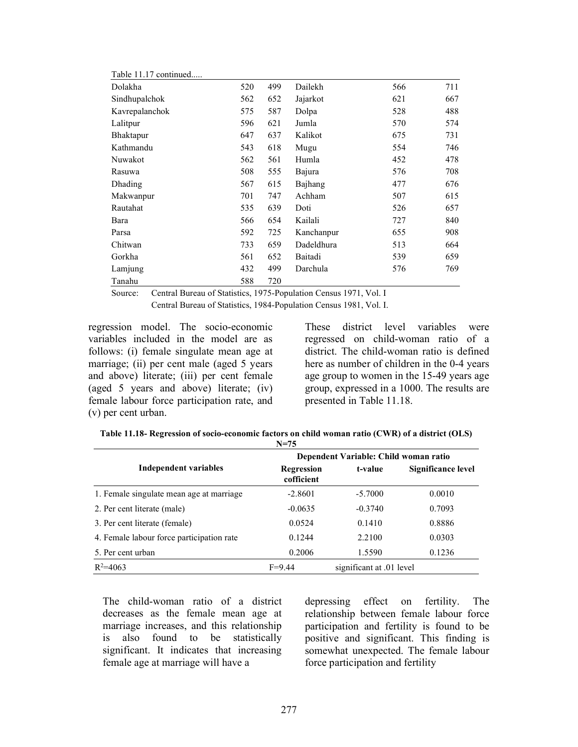| Table 11.17 continued |     |     |            |     |     |
|-----------------------|-----|-----|------------|-----|-----|
| Dolakha               | 520 | 499 | Dailekh    | 566 | 711 |
| Sindhupalchok         | 562 | 652 | Jajarkot   | 621 | 667 |
| Kavrepalanchok        | 575 | 587 | Dolpa      | 528 | 488 |
| Lalitpur              | 596 | 621 | Jumla      | 570 | 574 |
| Bhaktapur             | 647 | 637 | Kalikot    | 675 | 731 |
| Kathmandu             | 543 | 618 | Mugu       | 554 | 746 |
| Nuwakot               | 562 | 561 | Humla      | 452 | 478 |
| Rasuwa                | 508 | 555 | Bajura     | 576 | 708 |
| Dhading               | 567 | 615 | Bajhang    | 477 | 676 |
| Makwanpur             | 701 | 747 | Achham     | 507 | 615 |
| Rautahat              | 535 | 639 | Doti       | 526 | 657 |
| Bara                  | 566 | 654 | Kailali    | 727 | 840 |
| Parsa                 | 592 | 725 | Kanchanpur | 655 | 908 |
| Chitwan               | 733 | 659 | Dadeldhura | 513 | 664 |
| Gorkha                | 561 | 652 | Baitadi    | 539 | 659 |
| Lamjung               | 432 | 499 | Darchula   | 576 | 769 |
| Tanahu                | 588 | 720 |            |     |     |

Source: Central Bureau of Statistics, 1975-Population Census 1971, Vol. I

Central Bureau of Statistics, 1984-Population Census 1981, Vol. I.

regression model. The socio-economic variables included in the model are as follows: (i) female singulate mean age at marriage; (ii) per cent male (aged 5 years and above) literate; (iii) per cent female (aged 5 years and above) literate; (iv) female labour force participation rate, and (v) per cent urban.

These district level variables were regressed on child-woman ratio of a district. The child-woman ratio is defined here as number of children in the 0-4 years age group to women in the 15-49 years age group, expressed in a 1000. The results are presented in Table 11.18.

| Table 11.18- Regression of socio-economic factors on child woman ratio (CWR) of a district (OLS) |
|--------------------------------------------------------------------------------------------------|
| $N = 75$                                                                                         |

|                                           | Dependent Variable: Child woman ratio |                          |                    |  |
|-------------------------------------------|---------------------------------------|--------------------------|--------------------|--|
| Independent variables                     | <b>Regression</b><br>cofficient       | t-value                  | Significance level |  |
| 1. Female singulate mean age at marriage  | $-2.8601$                             | $-5.7000$                | 0.0010             |  |
| 2. Per cent literate (male)               | $-0.0635$                             | $-0.3740$                | 0.7093             |  |
| 3. Per cent literate (female)             | 0.0524                                | 0.1410                   | 0.8886             |  |
| 4. Female labour force participation rate | 0.1244                                | 2.2100                   | 0.0303             |  |
| 5. Per cent urban                         | 0.2006                                | 1.5590                   | 0.1236             |  |
| $R^2 = 4063$                              | $F = 9.44$                            | significant at .01 level |                    |  |

The child-woman ratio of a district decreases as the female mean age at marriage increases, and this relationship is also found to be statistically significant. It indicates that increasing female age at marriage will have a

depressing effect on fertility. The relationship between female labour force participation and fertility is found to be positive and significant. This finding is somewhat unexpected. The female labour force participation and fertility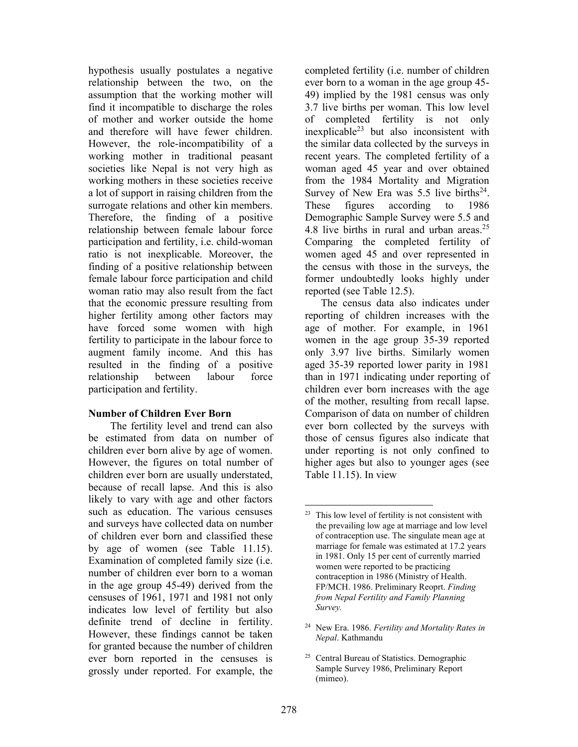hypothesis usually postulates a negative relationship between the two, on the assumption that the working mother will find it incompatible to discharge the roles of mother and worker outside the home and therefore will have fewer children. However, the role-incompatibility of a working mother in traditional peasant societies like Nepal is not very high as working mothers in these societies receive a lot of support in raising children from the surrogate relations and other kin members. Therefore, the finding of a positive relationship between female labour force participation and fertility, i.e. child-woman ratio is not inexplicable. Moreover, the finding of a positive relationship between female labour force participation and child woman ratio may also result from the fact that the economic pressure resulting from higher fertility among other factors may have forced some women with high fertility to participate in the labour force to augment family income. And this has resulted in the finding of a positive relationship between labour force participation and fertility.

### Number of Children Ever Born

 The fertility level and trend can also be estimated from data on number of children ever born alive by age of women. However, the figures on total number of children ever born are usually understated, because of recall lapse. And this is also likely to vary with age and other factors such as education. The various censuses and surveys have collected data on number of children ever born and classified these by age of women (see Table 11.15). Examination of completed family size (i.e. number of children ever born to a woman in the age group 45-49) derived from the censuses of 1961, 1971 and 1981 not only indicates low level of fertility but also definite trend of decline in fertility. However, these findings cannot be taken for granted because the number of children ever born reported in the censuses is grossly under reported. For example, the

completed fertility (i.e. number of children ever born to a woman in the age group 45- 49) implied by the 1981 census was only 3.7 live births per woman. This low level of completed fertility is not only inexplicable<sup>23</sup> but also inconsistent with the similar data collected by the surveys in recent years. The completed fertility of a woman aged 45 year and over obtained from the 1984 Mortality and Migration Survey of New Era was  $5.5$  live births<sup>24</sup>. These figures according to 1986 Demographic Sample Survey were 5.5 and 4.8 live births in rural and urban areas. $25$ Comparing the completed fertility of women aged 45 and over represented in the census with those in the surveys, the former undoubtedly looks highly under reported (see Table 12.5).

 The census data also indicates under reporting of children increases with the age of mother. For example, in 1961 women in the age group 35-39 reported only 3.97 live births. Similarly women aged 35-39 reported lower parity in 1981 than in 1971 indicating under reporting of children ever born increases with the age of the mother, resulting from recall lapse. Comparison of data on number of children ever born collected by the surveys with those of census figures also indicate that under reporting is not only confined to higher ages but also to younger ages (see Table 11.15). In view

<sup>25</sup> Central Bureau of Statistics. Demographic Sample Survey 1986, Preliminary Report (mimeo).

This low level of fertility is not consistent with the prevailing low age at marriage and low level of contraception use. The singulate mean age at marriage for female was estimated at 17.2 years in 1981. Only 15 per cent of currently married women were reported to be practicing contraception in 1986 (Ministry of Health. FP/MCH. 1986. Preliminary Reoprt. Finding from Nepal Fertility and Family Planning Survey.

<sup>&</sup>lt;sup>24</sup> New Era. 1986. Fertility and Mortality Rates in Nepal. Kathmandu